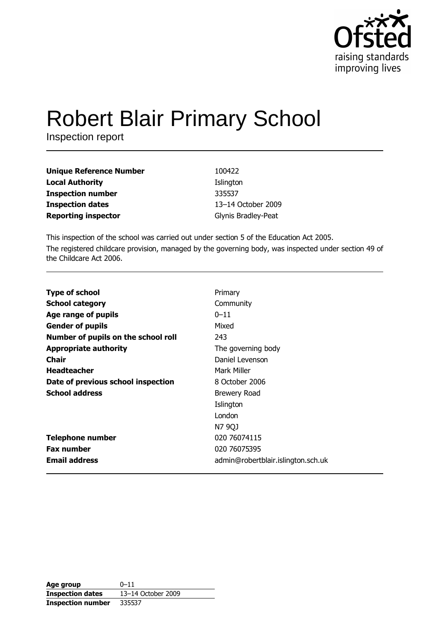

# **Robert Blair Primary School**

Inspection report

| <b>Unique Reference Number</b> | 100422              |
|--------------------------------|---------------------|
| <b>Local Authority</b>         | Islington           |
| <b>Inspection number</b>       | 335537              |
| <b>Inspection dates</b>        | 13-14 October 2009  |
| <b>Reporting inspector</b>     | Glynis Bradley-Peat |

This inspection of the school was carried out under section 5 of the Education Act 2005. The registered childcare provision, managed by the governing body, was inspected under section 49 of the Childcare Act 2006.

| <b>Type of school</b>               | Primary                            |
|-------------------------------------|------------------------------------|
| <b>School category</b>              | Community                          |
| Age range of pupils                 | $0 - 11$                           |
| <b>Gender of pupils</b>             | Mixed                              |
| Number of pupils on the school roll | 243                                |
| <b>Appropriate authority</b>        | The governing body                 |
| <b>Chair</b>                        | Daniel Levenson                    |
| <b>Headteacher</b>                  | Mark Miller                        |
| Date of previous school inspection  | 8 October 2006                     |
| <b>School address</b>               | Brewery Road                       |
|                                     | Islington                          |
|                                     | London                             |
|                                     | N7 9QJ                             |
| <b>Telephone number</b>             | 020 76074115                       |
| <b>Fax number</b>                   | 020 76075395                       |
| <b>Email address</b>                | admin@robertblair.islington.sch.uk |

| Age group                | $0 - 11$           |
|--------------------------|--------------------|
| <b>Inspection dates</b>  | 13-14 October 2009 |
| <b>Inspection number</b> | 335537             |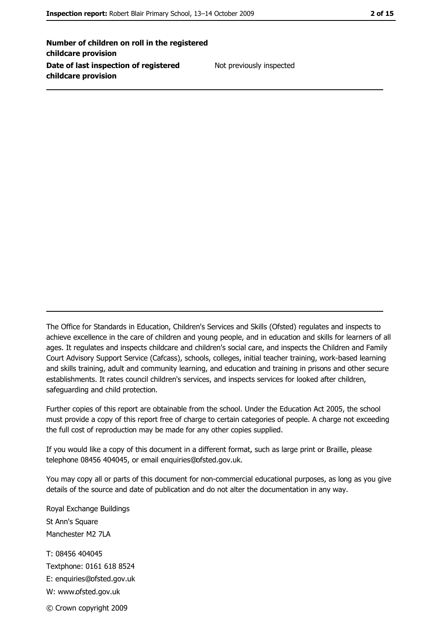Number of children on roll in the registered childcare provision Date of last inspection of registered childcare provision

Not previously inspected

The Office for Standards in Education, Children's Services and Skills (Ofsted) regulates and inspects to achieve excellence in the care of children and young people, and in education and skills for learners of all ages. It regulates and inspects childcare and children's social care, and inspects the Children and Family Court Advisory Support Service (Cafcass), schools, colleges, initial teacher training, work-based learning and skills training, adult and community learning, and education and training in prisons and other secure establishments. It rates council children's services, and inspects services for looked after children, safequarding and child protection.

Further copies of this report are obtainable from the school. Under the Education Act 2005, the school must provide a copy of this report free of charge to certain categories of people. A charge not exceeding the full cost of reproduction may be made for any other copies supplied.

If you would like a copy of this document in a different format, such as large print or Braille, please telephone 08456 404045, or email enquiries@ofsted.gov.uk.

You may copy all or parts of this document for non-commercial educational purposes, as long as you give details of the source and date of publication and do not alter the documentation in any way.

Royal Exchange Buildings St Ann's Square Manchester M2 7LA T: 08456 404045 Textphone: 0161 618 8524 E: enquiries@ofsted.gov.uk W: www.ofsted.gov.uk

© Crown copyright 2009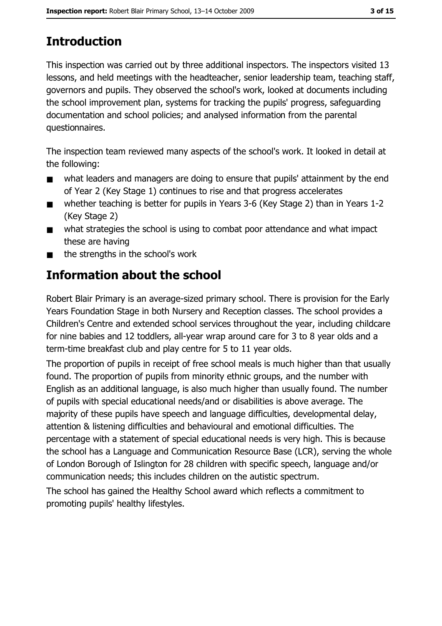# **Introduction**

This inspection was carried out by three additional inspectors. The inspectors visited 13 lessons, and held meetings with the headteacher, senior leadership team, teaching staff, governors and pupils. They observed the school's work, looked at documents including the school improvement plan, systems for tracking the pupils' progress, safequarding documentation and school policies; and analysed information from the parental questionnaires.

The inspection team reviewed many aspects of the school's work. It looked in detail at the following:

- what leaders and managers are doing to ensure that pupils' attainment by the end  $\blacksquare$ of Year 2 (Key Stage 1) continues to rise and that progress accelerates
- whether teaching is better for pupils in Years 3-6 (Key Stage 2) than in Years 1-2  $\blacksquare$ (Key Stage 2)
- what strategies the school is using to combat poor attendance and what impact  $\blacksquare$ these are having
- the strengths in the school's work

# Information about the school

Robert Blair Primary is an average-sized primary school. There is provision for the Early Years Foundation Stage in both Nursery and Reception classes. The school provides a Children's Centre and extended school services throughout the year, including childcare for nine babies and 12 toddlers, all-year wrap around care for 3 to 8 year olds and a term-time breakfast club and play centre for 5 to 11 year olds.

The proportion of pupils in receipt of free school meals is much higher than that usually found. The proportion of pupils from minority ethnic groups, and the number with English as an additional language, is also much higher than usually found. The number of pupils with special educational needs/and or disabilities is above average. The majority of these pupils have speech and language difficulties, developmental delay, attention & listening difficulties and behavioural and emotional difficulties. The percentage with a statement of special educational needs is very high. This is because the school has a Language and Communication Resource Base (LCR), serving the whole of London Borough of Islington for 28 children with specific speech, language and/or communication needs; this includes children on the autistic spectrum.

The school has gained the Healthy School award which reflects a commitment to promoting pupils' healthy lifestyles.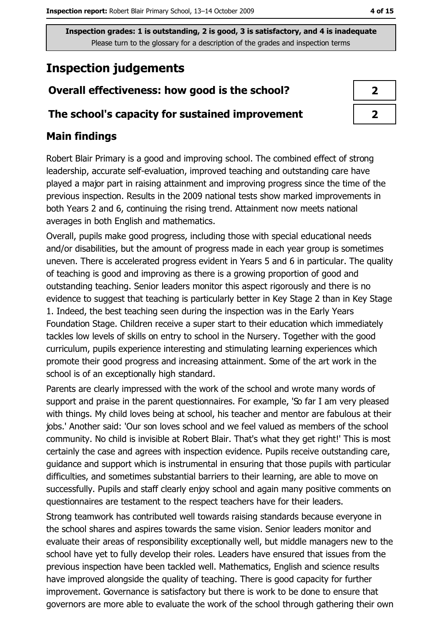# **Inspection judgements**

# Overall effectiveness: how good is the school?

### The school's capacity for sustained improvement

# **Main findings**

Robert Blair Primary is a good and improving school. The combined effect of strong leadership, accurate self-evaluation, improved teaching and outstanding care have played a major part in raising attainment and improving progress since the time of the previous inspection. Results in the 2009 national tests show marked improvements in both Years 2 and 6, continuing the rising trend. Attainment now meets national averages in both English and mathematics.

Overall, pupils make good progress, including those with special educational needs and/or disabilities, but the amount of progress made in each year group is sometimes uneven. There is accelerated progress evident in Years 5 and 6 in particular. The quality of teaching is good and improving as there is a growing proportion of good and outstanding teaching. Senior leaders monitor this aspect rigorously and there is no evidence to suggest that teaching is particularly better in Key Stage 2 than in Key Stage 1. Indeed, the best teaching seen during the inspection was in the Early Years Foundation Stage. Children receive a super start to their education which immediately tackles low levels of skills on entry to school in the Nursery. Together with the good curriculum, pupils experience interesting and stimulating learning experiences which promote their good progress and increasing attainment. Some of the art work in the school is of an exceptionally high standard.

Parents are clearly impressed with the work of the school and wrote many words of support and praise in the parent questionnaires. For example, 'So far I am very pleased with things. My child loves being at school, his teacher and mentor are fabulous at their jobs.' Another said: 'Our son loves school and we feel valued as members of the school community. No child is invisible at Robert Blair. That's what they get right!' This is most certainly the case and agrees with inspection evidence. Pupils receive outstanding care, guidance and support which is instrumental in ensuring that those pupils with particular difficulties, and sometimes substantial barriers to their learning, are able to move on successfully. Pupils and staff clearly enjoy school and again many positive comments on questionnaires are testament to the respect teachers have for their leaders.

Strong teamwork has contributed well towards raising standards because everyone in the school shares and aspires towards the same vision. Senior leaders monitor and evaluate their areas of responsibility exceptionally well, but middle managers new to the school have yet to fully develop their roles. Leaders have ensured that issues from the previous inspection have been tackled well. Mathematics, English and science results have improved alongside the quality of teaching. There is good capacity for further improvement. Governance is satisfactory but there is work to be done to ensure that governors are more able to evaluate the work of the school through gathering their own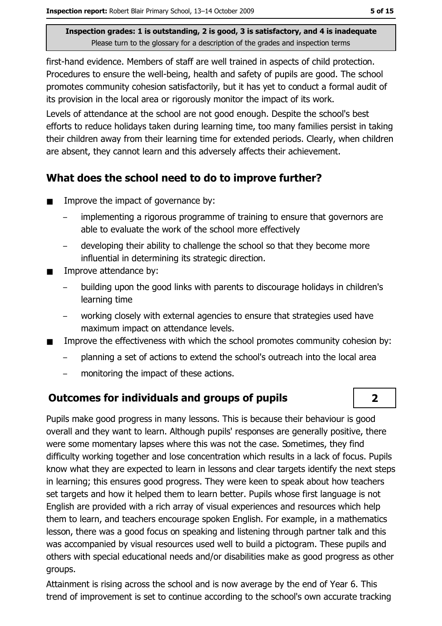first-hand evidence. Members of staff are well trained in aspects of child protection. Procedures to ensure the well-being, health and safety of pupils are good. The school promotes community cohesion satisfactorily, but it has yet to conduct a formal audit of its provision in the local area or rigorously monitor the impact of its work.

Levels of attendance at the school are not good enough. Despite the school's best efforts to reduce holidays taken during learning time, too many families persist in taking their children away from their learning time for extended periods. Clearly, when children are absent, they cannot learn and this adversely affects their achievement.

# What does the school need to do to improve further?

- Improve the impact of governance by:  $\blacksquare$ 
	- implementing a rigorous programme of training to ensure that governors are able to evaluate the work of the school more effectively
	- developing their ability to challenge the school so that they become more influential in determining its strategic direction.
- Improve attendance by:  $\blacksquare$ 
	- building upon the good links with parents to discourage holidays in children's learning time
	- working closely with external agencies to ensure that strategies used have maximum impact on attendance levels.
- Improve the effectiveness with which the school promotes community cohesion by:  $\blacksquare$ 
	- planning a set of actions to extend the school's outreach into the local area
	- monitoring the impact of these actions.

# **Outcomes for individuals and groups of pupils**

Pupils make good progress in many lessons. This is because their behaviour is good overall and they want to learn. Although pupils' responses are generally positive, there were some momentary lapses where this was not the case. Sometimes, they find difficulty working together and lose concentration which results in a lack of focus. Pupils know what they are expected to learn in lessons and clear targets identify the next steps in learning; this ensures good progress. They were keen to speak about how teachers set targets and how it helped them to learn better. Pupils whose first language is not English are provided with a rich array of visual experiences and resources which help them to learn, and teachers encourage spoken English. For example, in a mathematics lesson, there was a good focus on speaking and listening through partner talk and this was accompanied by visual resources used well to build a pictogram. These pupils and others with special educational needs and/or disabilities make as good progress as other groups.

Attainment is rising across the school and is now average by the end of Year 6. This trend of improvement is set to continue according to the school's own accurate tracking

 $\overline{2}$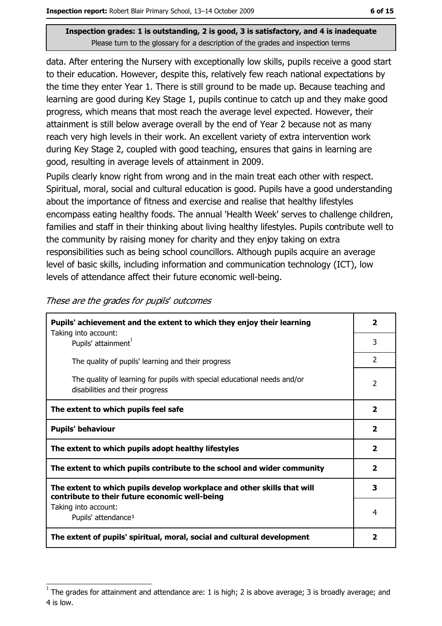data. After entering the Nursery with exceptionally low skills, pupils receive a good start to their education. However, despite this, relatively few reach national expectations by the time they enter Year 1. There is still ground to be made up. Because teaching and learning are good during Key Stage 1, pupils continue to catch up and they make good progress, which means that most reach the average level expected. However, their attainment is still below average overall by the end of Year 2 because not as many reach very high levels in their work. An excellent variety of extra intervention work during Key Stage 2, coupled with good teaching, ensures that gains in learning are good, resulting in average levels of attainment in 2009.

Pupils clearly know right from wrong and in the main treat each other with respect. Spiritual, moral, social and cultural education is good. Pupils have a good understanding about the importance of fitness and exercise and realise that healthy lifestyles encompass eating healthy foods. The annual 'Health Week' serves to challenge children, families and staff in their thinking about living healthy lifestyles. Pupils contribute well to the community by raising money for charity and they enjoy taking on extra responsibilities such as being school councillors. Although pupils acquire an average level of basic skills, including information and communication technology (ICT), low levels of attendance affect their future economic well-being.

| Pupils' achievement and the extent to which they enjoy their learning                                                     |                |  |
|---------------------------------------------------------------------------------------------------------------------------|----------------|--|
| Taking into account:<br>Pupils' attainment <sup>1</sup>                                                                   | 3              |  |
| The quality of pupils' learning and their progress                                                                        | 2              |  |
| The quality of learning for pupils with special educational needs and/or<br>disabilities and their progress               | 2              |  |
| The extent to which pupils feel safe                                                                                      | 2              |  |
| <b>Pupils' behaviour</b>                                                                                                  | 2              |  |
| The extent to which pupils adopt healthy lifestyles                                                                       | $\overline{2}$ |  |
| The extent to which pupils contribute to the school and wider community                                                   |                |  |
| The extent to which pupils develop workplace and other skills that will<br>contribute to their future economic well-being | 3              |  |
| Taking into account:                                                                                                      | 4              |  |
| Pupils' attendance <sup>1</sup>                                                                                           |                |  |
| The extent of pupils' spiritual, moral, social and cultural development                                                   |                |  |

These are the grades for pupils' outcomes

The grades for attainment and attendance are: 1 is high; 2 is above average; 3 is broadly average; and 4 is low.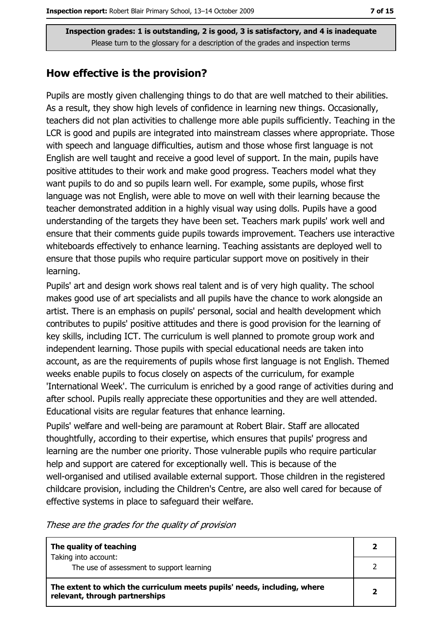### How effective is the provision?

Pupils are mostly given challenging things to do that are well matched to their abilities. As a result, they show high levels of confidence in learning new things. Occasionally, teachers did not plan activities to challenge more able pupils sufficiently. Teaching in the LCR is good and pupils are integrated into mainstream classes where appropriate. Those with speech and language difficulties, autism and those whose first language is not English are well taught and receive a good level of support. In the main, pupils have positive attitudes to their work and make good progress. Teachers model what they want pupils to do and so pupils learn well. For example, some pupils, whose first language was not English, were able to move on well with their learning because the teacher demonstrated addition in a highly visual way using dolls. Pupils have a good understanding of the targets they have been set. Teachers mark pupils' work well and ensure that their comments quide pupils towards improvement. Teachers use interactive whiteboards effectively to enhance learning. Teaching assistants are deployed well to ensure that those pupils who require particular support move on positively in their learning.

Pupils' art and design work shows real talent and is of very high quality. The school makes good use of art specialists and all pupils have the chance to work alongside an artist. There is an emphasis on pupils' personal, social and health development which contributes to pupils' positive attitudes and there is good provision for the learning of key skills, including ICT. The curriculum is well planned to promote group work and independent learning. Those pupils with special educational needs are taken into account, as are the requirements of pupils whose first language is not English. Themed weeks enable pupils to focus closely on aspects of the curriculum, for example 'International Week'. The curriculum is enriched by a good range of activities during and after school. Pupils really appreciate these opportunities and they are well attended. Educational visits are regular features that enhance learning.

Pupils' welfare and well-being are paramount at Robert Blair. Staff are allocated thoughtfully, according to their expertise, which ensures that pupils' progress and learning are the number one priority. Those vulnerable pupils who require particular help and support are catered for exceptionally well. This is because of the well-organised and utilised available external support. Those children in the registered childcare provision, including the Children's Centre, are also well cared for because of effective systems in place to safeguard their welfare.

These are the grades for the quality of provision

| The quality of teaching                                                                                    |  |
|------------------------------------------------------------------------------------------------------------|--|
| Taking into account:<br>The use of assessment to support learning                                          |  |
| The extent to which the curriculum meets pupils' needs, including, where<br>relevant, through partnerships |  |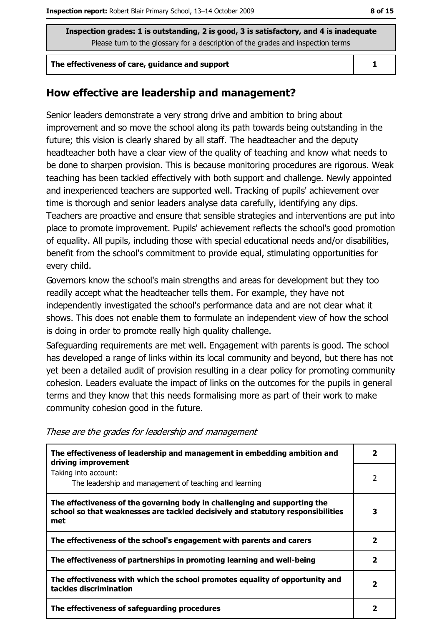#### The effectiveness of care, quidance and support

### How effective are leadership and management?

Senior leaders demonstrate a very strong drive and ambition to bring about improvement and so move the school along its path towards being outstanding in the future; this vision is clearly shared by all staff. The headteacher and the deputy headteacher both have a clear view of the quality of teaching and know what needs to be done to sharpen provision. This is because monitoring procedures are rigorous. Weak teaching has been tackled effectively with both support and challenge. Newly appointed and inexperienced teachers are supported well. Tracking of pupils' achievement over time is thorough and senior leaders analyse data carefully, identifying any dips. Teachers are proactive and ensure that sensible strategies and interventions are put into place to promote improvement. Pupils' achievement reflects the school's good promotion of equality. All pupils, including those with special educational needs and/or disabilities, benefit from the school's commitment to provide equal, stimulating opportunities for every child.

Governors know the school's main strengths and areas for development but they too readily accept what the headteacher tells them. For example, they have not independently investigated the school's performance data and are not clear what it shows. This does not enable them to formulate an independent view of how the school is doing in order to promote really high quality challenge.

Safeguarding requirements are met well. Engagement with parents is good. The school has developed a range of links within its local community and beyond, but there has not vet been a detailed audit of provision resulting in a clear policy for promoting community cohesion. Leaders evaluate the impact of links on the outcomes for the pupils in general terms and they know that this needs formalising more as part of their work to make community cohesion good in the future.

| The effectiveness of leadership and management in embedding ambition and<br>driving improvement                                                                     | 2 |
|---------------------------------------------------------------------------------------------------------------------------------------------------------------------|---|
| Taking into account:<br>The leadership and management of teaching and learning                                                                                      |   |
| The effectiveness of the governing body in challenging and supporting the<br>school so that weaknesses are tackled decisively and statutory responsibilities<br>met | 3 |
| The effectiveness of the school's engagement with parents and carers                                                                                                | 2 |
| The effectiveness of partnerships in promoting learning and well-being                                                                                              | 2 |
| The effectiveness with which the school promotes equality of opportunity and<br>tackles discrimination                                                              | 2 |
| The effectiveness of safeguarding procedures                                                                                                                        |   |

These are the grades for leadership and management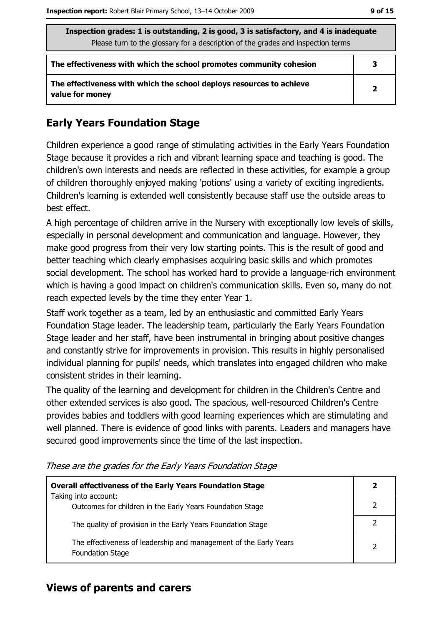| Inspection grades: 1 is outstanding, 2 is good, 3 is satisfactory, and 4 is inadequate<br>Please turn to the glossary for a description of the grades and inspection terms |                |  |
|----------------------------------------------------------------------------------------------------------------------------------------------------------------------------|----------------|--|
| The effectiveness with which the school promotes community cohesion                                                                                                        | 3              |  |
| The effectiveness with which the school deploys resources to achieve<br>value for money                                                                                    | $\overline{2}$ |  |

# **Early Years Foundation Stage**

Children experience a good range of stimulating activities in the Early Years Foundation Stage because it provides a rich and vibrant learning space and teaching is good. The children's own interests and needs are reflected in these activities, for example a group of children thoroughly enjoyed making 'potions' using a variety of exciting ingredients. Children's learning is extended well consistently because staff use the outside areas to best effect.

A high percentage of children arrive in the Nursery with exceptionally low levels of skills, especially in personal development and communication and language. However, they make good progress from their very low starting points. This is the result of good and better teaching which clearly emphasises acquiring basic skills and which promotes social development. The school has worked hard to provide a language-rich environment which is having a good impact on children's communication skills. Even so, many do not reach expected levels by the time they enter Year 1.

Staff work together as a team, led by an enthusiastic and committed Early Years Foundation Stage leader. The leadership team, particularly the Early Years Foundation Stage leader and her staff, have been instrumental in bringing about positive changes and constantly strive for improvements in provision. This results in highly personalised individual planning for pupils' needs, which translates into engaged children who make consistent strides in their learning.

The quality of the learning and development for children in the Children's Centre and other extended services is also good. The spacious, well-resourced Children's Centre provides babies and toddlers with good learning experiences which are stimulating and well planned. There is evidence of good links with parents. Leaders and managers have secured good improvements since the time of the last inspection.

| <b>Overall effectiveness of the Early Years Foundation Stage</b>                             |  |  |
|----------------------------------------------------------------------------------------------|--|--|
| Taking into account:<br>Outcomes for children in the Early Years Foundation Stage            |  |  |
| The quality of provision in the Early Years Foundation Stage                                 |  |  |
| The effectiveness of leadership and management of the Early Years<br><b>Foundation Stage</b> |  |  |

These are the grades for the Early Years Foundation Stage

### **Views of parents and carers**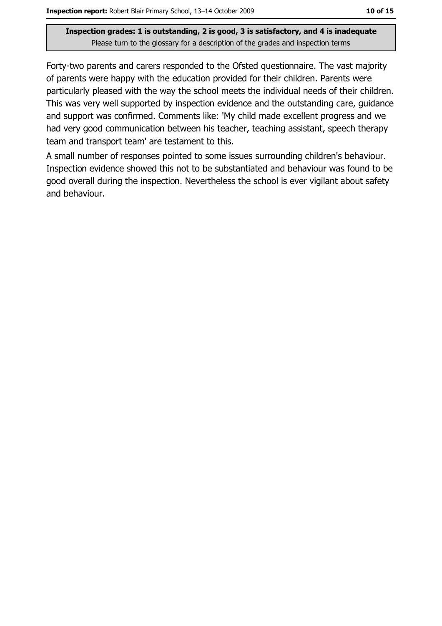Forty-two parents and carers responded to the Ofsted questionnaire. The vast majority of parents were happy with the education provided for their children. Parents were particularly pleased with the way the school meets the individual needs of their children. This was very well supported by inspection evidence and the outstanding care, guidance and support was confirmed. Comments like: 'My child made excellent progress and we had very good communication between his teacher, teaching assistant, speech therapy team and transport team' are testament to this.

A small number of responses pointed to some issues surrounding children's behaviour. Inspection evidence showed this not to be substantiated and behaviour was found to be good overall during the inspection. Nevertheless the school is ever vigilant about safety and behaviour.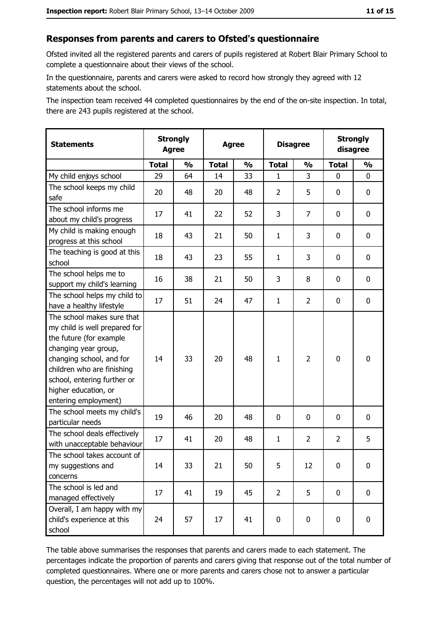### Responses from parents and carers to Ofsted's questionnaire

Ofsted invited all the registered parents and carers of pupils registered at Robert Blair Primary School to complete a questionnaire about their views of the school.

In the questionnaire, parents and carers were asked to record how strongly they agreed with 12 statements about the school.

The inspection team received 44 completed questionnaires by the end of the on-site inspection. In total, there are 243 pupils registered at the school.

| <b>Statements</b>                                                                                                                                                                                                                                       | <b>Strongly</b><br><b>Agree</b> |               | <b>Agree</b> |               | <b>Disagree</b> |                |                | <b>Strongly</b><br>disagree |
|---------------------------------------------------------------------------------------------------------------------------------------------------------------------------------------------------------------------------------------------------------|---------------------------------|---------------|--------------|---------------|-----------------|----------------|----------------|-----------------------------|
|                                                                                                                                                                                                                                                         | <b>Total</b>                    | $\frac{1}{2}$ | <b>Total</b> | $\frac{0}{0}$ | <b>Total</b>    | $\frac{0}{0}$  | <b>Total</b>   | $\frac{1}{2}$               |
| My child enjoys school                                                                                                                                                                                                                                  | 29                              | 64            | 14           | 33            | 1               | 3              | 0              | 0                           |
| The school keeps my child<br>safe                                                                                                                                                                                                                       | 20                              | 48            | 20           | 48            | $\overline{2}$  | 5              | 0              | 0                           |
| The school informs me<br>about my child's progress                                                                                                                                                                                                      | 17                              | 41            | 22           | 52            | 3               | 7              | $\mathbf{0}$   | 0                           |
| My child is making enough<br>progress at this school                                                                                                                                                                                                    | 18                              | 43            | 21           | 50            | $\mathbf{1}$    | 3              | 0              | 0                           |
| The teaching is good at this<br>school                                                                                                                                                                                                                  | 18                              | 43            | 23           | 55            | $\mathbf{1}$    | 3              | 0              | 0                           |
| The school helps me to<br>support my child's learning                                                                                                                                                                                                   | 16                              | 38            | 21           | 50            | 3               | 8              | 0              | 0                           |
| The school helps my child to<br>have a healthy lifestyle                                                                                                                                                                                                | 17                              | 51            | 24           | 47            | $\mathbf{1}$    | $\overline{2}$ | 0              | 0                           |
| The school makes sure that<br>my child is well prepared for<br>the future (for example<br>changing year group,<br>changing school, and for<br>children who are finishing<br>school, entering further or<br>higher education, or<br>entering employment) | 14                              | 33            | 20           | 48            | $\mathbf{1}$    | $\overline{2}$ | $\mathbf 0$    | 0                           |
| The school meets my child's<br>particular needs                                                                                                                                                                                                         | 19                              | 46            | 20           | 48            | $\mathbf 0$     | 0              | 0              | 0                           |
| The school deals effectively<br>with unacceptable behaviour                                                                                                                                                                                             | 17                              | 41            | 20           | 48            | $\mathbf{1}$    | $\overline{2}$ | $\overline{2}$ | 5                           |
| The school takes account of<br>my suggestions and<br>concerns                                                                                                                                                                                           | 14                              | 33            | 21           | 50            | 5               | 12             | 0              | 0                           |
| The school is led and<br>managed effectively                                                                                                                                                                                                            | 17                              | 41            | 19           | 45            | $\overline{2}$  | 5              | 0              | $\mathbf 0$                 |
| Overall, I am happy with my<br>child's experience at this<br>school                                                                                                                                                                                     | 24                              | 57            | 17           | 41            | $\mathbf 0$     | 0              | $\mathbf 0$    | 0                           |

The table above summarises the responses that parents and carers made to each statement. The percentages indicate the proportion of parents and carers giving that response out of the total number of completed questionnaires. Where one or more parents and carers chose not to answer a particular question, the percentages will not add up to 100%.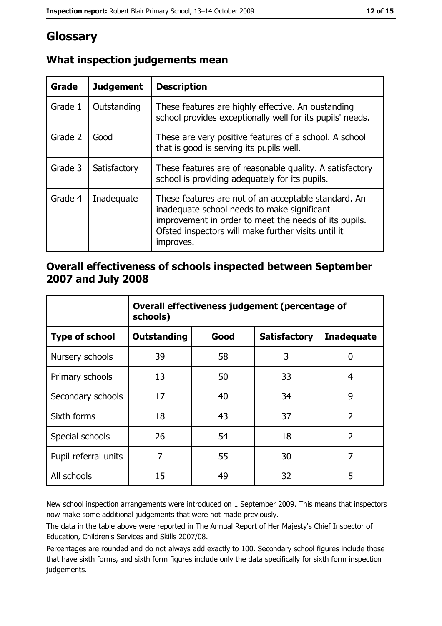# Glossary

| Grade   | <b>Judgement</b> | <b>Description</b>                                                                                                                                                                                                               |
|---------|------------------|----------------------------------------------------------------------------------------------------------------------------------------------------------------------------------------------------------------------------------|
| Grade 1 | Outstanding      | These features are highly effective. An oustanding<br>school provides exceptionally well for its pupils' needs.                                                                                                                  |
| Grade 2 | Good             | These are very positive features of a school. A school<br>that is good is serving its pupils well.                                                                                                                               |
| Grade 3 | Satisfactory     | These features are of reasonable quality. A satisfactory<br>school is providing adequately for its pupils.                                                                                                                       |
| Grade 4 | Inadequate       | These features are not of an acceptable standard. An<br>inadequate school needs to make significant<br>improvement in order to meet the needs of its pupils.<br>Ofsted inspectors will make further visits until it<br>improves. |

# What inspection judgements mean

# Overall effectiveness of schools inspected between September 2007 and July 2008

|                       | Overall effectiveness judgement (percentage of<br>schools) |      |                     |                   |  |
|-----------------------|------------------------------------------------------------|------|---------------------|-------------------|--|
| <b>Type of school</b> | Outstanding                                                | Good | <b>Satisfactory</b> | <b>Inadequate</b> |  |
| Nursery schools       | 39                                                         | 58   | 3                   | 0                 |  |
| Primary schools       | 13                                                         | 50   | 33                  | 4                 |  |
| Secondary schools     | 17                                                         | 40   | 34                  | 9                 |  |
| Sixth forms           | 18                                                         | 43   | 37                  | $\overline{2}$    |  |
| Special schools       | 26                                                         | 54   | 18                  | $\overline{2}$    |  |
| Pupil referral units  | 7                                                          | 55   | 30                  | 7                 |  |
| All schools           | 15                                                         | 49   | 32                  | 5                 |  |

New school inspection arrangements were introduced on 1 September 2009. This means that inspectors now make some additional judgements that were not made previously.

The data in the table above were reported in The Annual Report of Her Majesty's Chief Inspector of Education, Children's Services and Skills 2007/08.

Percentages are rounded and do not always add exactly to 100. Secondary school figures include those that have sixth forms, and sixth form figures include only the data specifically for sixth form inspection judgements.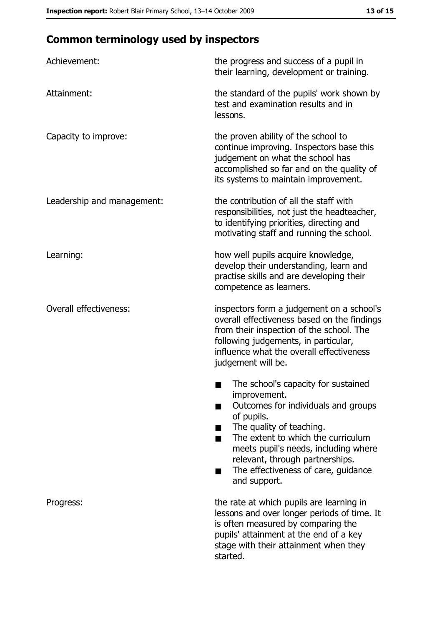# **Common terminology used by inspectors**

| Achievement:                  | the progress and success of a pupil in<br>their learning, development or training.                                                                                                                                                                                                                           |
|-------------------------------|--------------------------------------------------------------------------------------------------------------------------------------------------------------------------------------------------------------------------------------------------------------------------------------------------------------|
| Attainment:                   | the standard of the pupils' work shown by<br>test and examination results and in<br>lessons.                                                                                                                                                                                                                 |
| Capacity to improve:          | the proven ability of the school to<br>continue improving. Inspectors base this<br>judgement on what the school has<br>accomplished so far and on the quality of<br>its systems to maintain improvement.                                                                                                     |
| Leadership and management:    | the contribution of all the staff with<br>responsibilities, not just the headteacher,<br>to identifying priorities, directing and<br>motivating staff and running the school.                                                                                                                                |
| Learning:                     | how well pupils acquire knowledge,<br>develop their understanding, learn and<br>practise skills and are developing their<br>competence as learners.                                                                                                                                                          |
| <b>Overall effectiveness:</b> | inspectors form a judgement on a school's<br>overall effectiveness based on the findings<br>from their inspection of the school. The<br>following judgements, in particular,<br>influence what the overall effectiveness<br>judgement will be.                                                               |
|                               | The school's capacity for sustained<br>improvement.<br>Outcomes for individuals and groups<br>of pupils.<br>The quality of teaching.<br>The extent to which the curriculum<br>meets pupil's needs, including where<br>relevant, through partnerships.<br>The effectiveness of care, guidance<br>and support. |
| Progress:                     | the rate at which pupils are learning in<br>lessons and over longer periods of time. It<br>is often measured by comparing the<br>pupils' attainment at the end of a key<br>stage with their attainment when they<br>started.                                                                                 |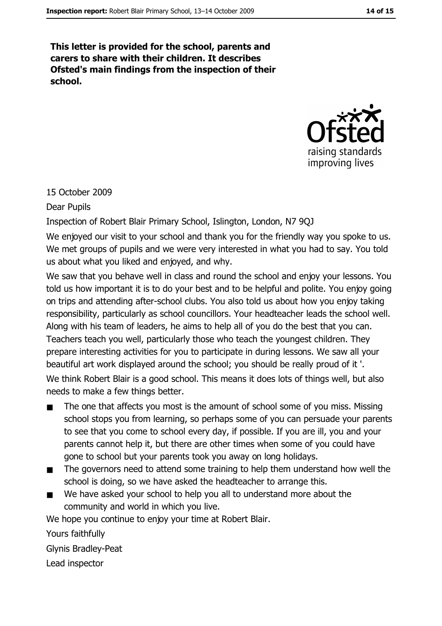This letter is provided for the school, parents and carers to share with their children. It describes Ofsted's main findings from the inspection of their school.



# 15 October 2009

**Dear Pupils** 

Inspection of Robert Blair Primary School, Islington, London, N7 9QJ

We enjoyed our visit to your school and thank you for the friendly way you spoke to us. We met groups of pupils and we were very interested in what you had to say. You told us about what you liked and enjoyed, and why.

We saw that you behave well in class and round the school and enjoy your lessons. You told us how important it is to do your best and to be helpful and polite. You enjoy going on trips and attending after-school clubs. You also told us about how you enjoy taking responsibility, particularly as school councillors. Your headteacher leads the school well. Along with his team of leaders, he aims to help all of you do the best that you can. Teachers teach you well, particularly those who teach the youngest children. They prepare interesting activities for you to participate in during lessons. We saw all your beautiful art work displayed around the school; you should be really proud of it'. We think Robert Blair is a good school. This means it does lots of things well, but also needs to make a few things better.

- The one that affects you most is the amount of school some of you miss. Missing  $\blacksquare$ school stops you from learning, so perhaps some of you can persuade your parents to see that you come to school every day, if possible. If you are ill, you and your parents cannot help it, but there are other times when some of you could have gone to school but your parents took you away on long holidays.
- The governors need to attend some training to help them understand how well the  $\blacksquare$ school is doing, so we have asked the headteacher to arrange this.
- We have asked your school to help you all to understand more about the community and world in which you live.

We hope you continue to enjoy your time at Robert Blair.

Yours faithfully

**Glynis Bradley-Peat** 

Lead inspector